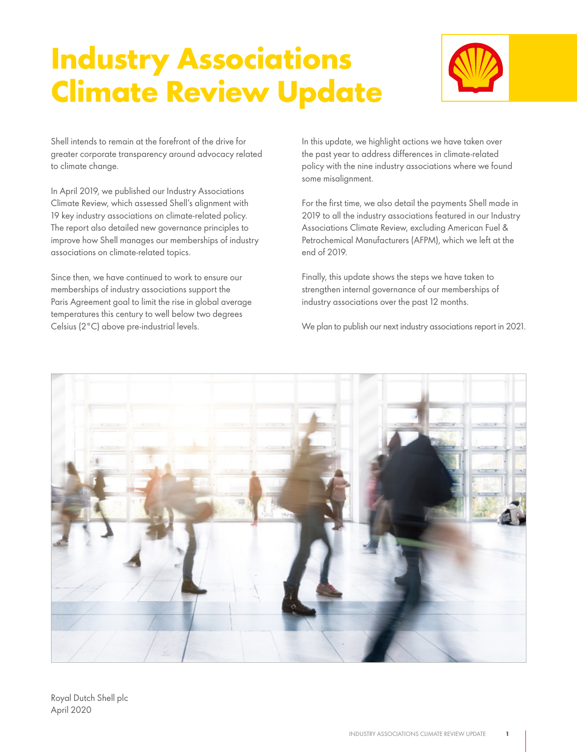# **Industry Associations Climate Review Update**



Shell intends to remain at the forefront of the drive for greater corporate transparency around advocacy related to climate change.

In April 2019, we published our Industry Associations Climate Review, which assessed Shell's alignment with 19 key industry associations on climate-related policy. The report also detailed new governance principles to improve how Shell manages our memberships of industry associations on climate-related topics.

Since then, we have continued to work to ensure our memberships of industry associations support the Paris Agreement goal to limit the rise in global average temperatures this century to well below two degrees Celsius (2°C) above pre-industrial levels.

In this update, we highlight actions we have taken over the past year to address differences in climate-related policy with the nine industry associations where we found some misalignment.

For the first time, we also detail the payments Shell made in 2019 to all the industry associations featured in our Industry Associations Climate Review, excluding American Fuel & Petrochemical Manufacturers (AFPM), which we left at the end of 2019.

Finally, this update shows the steps we have taken to strengthen internal governance of our memberships of industry associations over the past 12 months.

We plan to publish our next industry associations report in 2021.



Royal Dutch Shell plc April 2020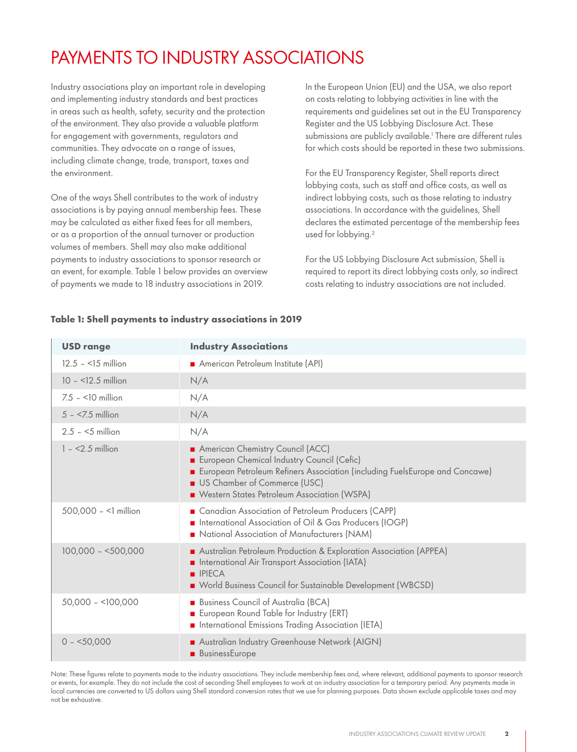## PAYMENTS TO INDUSTRY ASSOCIATIONS

Industry associations play an important role in developing and implementing industry standards and best practices in areas such as health, safety, security and the protection of the environment. They also provide a valuable platform for engagement with governments, regulators and communities. They advocate on a range of issues, including climate change, trade, transport, taxes and the environment.

In the European Union (EU) and the USA, we also report on costs relating to lobbying activities in line with the requirements and guidelines set out in the EU Transparency Register and the US Lobbying Disclosure Act. These submissions are publicly available.1 There are different rules for which costs should be reported in these two submissions.

| melading elimate endrige, trade, transport, taxes and<br>the environment.                                                                                                                                                                  |                                                                                                                                                                                                                                                     | For the EU Transparency Register, Shell reports direct<br>lobbying costs, such as staff and office costs, as well as<br>indirect lobbying costs, such as those relating to industry<br>associations. In accordance with the guidelines, Shell<br>declares the estimated percentage of the membership fees<br>used for lobbying. <sup>2</sup> |  |  |
|--------------------------------------------------------------------------------------------------------------------------------------------------------------------------------------------------------------------------------------------|-----------------------------------------------------------------------------------------------------------------------------------------------------------------------------------------------------------------------------------------------------|----------------------------------------------------------------------------------------------------------------------------------------------------------------------------------------------------------------------------------------------------------------------------------------------------------------------------------------------|--|--|
| One of the ways Shell contributes to the work of industry<br>associations is by paying annual membership fees. These<br>may be calculated as either fixed fees for all members,<br>or as a proportion of the annual turnover or production |                                                                                                                                                                                                                                                     |                                                                                                                                                                                                                                                                                                                                              |  |  |
| volumes of members. Shell may also make additional<br>payments to industry associations to sponsor research or<br>an event, for example. Table 1 below provides an overview<br>of payments we made to 18 industry associations in 2019.    |                                                                                                                                                                                                                                                     | For the US Lobbying Disclosure Act submission, Shell is<br>required to report its direct lobbying costs only, so indirect<br>costs relating to industry associations are not included.                                                                                                                                                       |  |  |
| Table 1: Shell payments to industry associations in 2019                                                                                                                                                                                   |                                                                                                                                                                                                                                                     |                                                                                                                                                                                                                                                                                                                                              |  |  |
| <b>USD range</b>                                                                                                                                                                                                                           | <b>Industry Associations</b>                                                                                                                                                                                                                        |                                                                                                                                                                                                                                                                                                                                              |  |  |
| $12.5 - 15$ million                                                                                                                                                                                                                        | American Petroleum Institute (API)                                                                                                                                                                                                                  |                                                                                                                                                                                                                                                                                                                                              |  |  |
| $10 - 12.5$ million                                                                                                                                                                                                                        | N/A                                                                                                                                                                                                                                                 |                                                                                                                                                                                                                                                                                                                                              |  |  |
| $7.5 - 10$ million                                                                                                                                                                                                                         | N/A                                                                                                                                                                                                                                                 |                                                                                                                                                                                                                                                                                                                                              |  |  |
| $5 - 5$ million                                                                                                                                                                                                                            | N/A                                                                                                                                                                                                                                                 |                                                                                                                                                                                                                                                                                                                                              |  |  |
| $2.5 - 5$ million                                                                                                                                                                                                                          | N/A                                                                                                                                                                                                                                                 |                                                                                                                                                                                                                                                                                                                                              |  |  |
| $1 - 2.5$ million                                                                                                                                                                                                                          | American Chemistry Council (ACC)<br>European Chemical Industry Council (Cefic)<br>European Petroleum Refiners Association (including FuelsEurope and Concawe)<br><b>US Chamber of Commerce (USC)</b><br>Western States Petroleum Association (WSPA) |                                                                                                                                                                                                                                                                                                                                              |  |  |
| 500,000 - <1 million                                                                                                                                                                                                                       | Canadian Association of Petroleum Producers (CAPP)<br>International Association of Oil & Gas Producers (IOGP)<br>National Association of Manufacturers (NAM)                                                                                        |                                                                                                                                                                                                                                                                                                                                              |  |  |
| $100,000 - 500,000$                                                                                                                                                                                                                        | Australian Petroleum Production & Exploration Association (APPEA)<br>International Air Transport Association (IATA)<br>$\blacksquare$ IPIECA<br>World Business Council for Sustainable Development (WBCSD)                                          |                                                                                                                                                                                                                                                                                                                                              |  |  |
| $50,000 - 100,000$                                                                                                                                                                                                                         |                                                                                                                                                                                                                                                     | <b>Business Council of Australia (BCA)</b><br>European Round Table for Industry (ERT)<br>International Emissions Trading Association (IETA)                                                                                                                                                                                                  |  |  |
| $0 - 50,000$                                                                                                                                                                                                                               | Australian Industry Greenhouse Network (AIGN)<br><b>BusinessEurope</b>                                                                                                                                                                              |                                                                                                                                                                                                                                                                                                                                              |  |  |

Note: These figures relate to payments made to the industry associations. They include membership fees and, where relevant, additional payments to sponsor research or events, for example. They do not include the cost of seconding Shell employees to work at an industry association for a temporary period. Any payments made in local currencies are converted to US dollars using Shell standard conversion rates that we use for planning purposes. Data shown exclude applicable taxes and may not be exhaustive.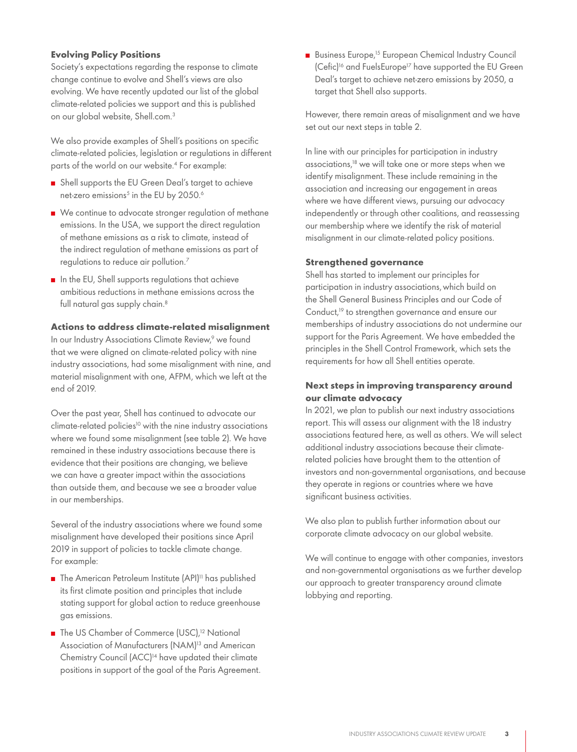#### **Evolving Policy Positions**

Society's expectations regarding the response to climate change continue to evolve and Shell's views are also evolving. We have recently updated our list of the global climate-related policies we support and this is published on our global website, Shell.com.3

We also provide examples of Shell's positions on specific climate-related policies, legislation or regulations in different parts of the world on our website.4 For example:

- Shell supports the EU Green Deal's target to achieve net-zero emissions<sup>5</sup> in the EU by 2050.<sup>6</sup>
- We continue to advocate stronger regulation of methane emissions. In the USA, we support the direct regulation of methane emissions as a risk to climate, instead of the indirect regulation of methane emissions as part of regulations to reduce air pollution.7
- $\blacksquare$  In the EU, Shell supports regulations that achieve ambitious reductions in methane emissions across the full natural gas supply chain.<sup>8</sup>

#### **Actions to address climate-related misalignment**

In our Industry Associations Climate Review,<sup>9</sup> we found that we were aligned on climate-related policy with nine industry associations, had some misalignment with nine, and material misalignment with one, AFPM, which we left at the end of 2019.

Over the past year, Shell has continued to advocate our climate-related policies<sup>10</sup> with the nine industry associations where we found some misalignment (see table 2). We have remained in these industry associations because there is evidence that their positions are changing, we believe we can have a greater impact within the associations than outside them, and because we see a broader value in our memberships.

Several of the industry associations where we found some misalignment have developed their positions since April 2019 in support of policies to tackle climate change. For example:

- $\blacksquare$  The American Petroleum Institute (API)<sup>11</sup> has published its first climate position and principles that include stating support for global action to reduce greenhouse gas emissions.
- The US Chamber of Commerce (USC),<sup>12</sup> National Association of Manufacturers (NAM)<sup>13</sup> and American Chemistry Council (ACC)<sup>14</sup> have updated their climate positions in support of the goal of the Paris Agreement.

<sup>n</sup> Business Europe,15 European Chemical Industry Council (Cefic)<sup>16</sup> and FuelsEurope<sup>17</sup> have supported the EU Green Deal's target to achieve net-zero emissions by 2050, a target that Shell also supports.

However, there remain areas of misalignment and we have set out our next steps in table 2.

In line with our principles for participation in industry associations,18 we will take one or more steps when we identify misalignment. These include remaining in the association and increasing our engagement in areas where we have different views, pursuing our advocacy independently or through other coalitions, and reassessing our membership where we identify the risk of material misalignment in our climate-related policy positions.

#### **Strengthened governance**

Shell has started to implement our principles for participation in industry associations,which build on the Shell General Business Principles and our Code of Conduct,<sup>19</sup> to strengthen governance and ensure our memberships of industry associations do not undermine our support for the Paris Agreement. We have embedded the principles in the Shell Control Framework, which sets the requirements for how all Shell entities operate. overld on our wholes. For example:<br>
paperts the SU conservative and the source of the set approximate to chieve<br>
approximations<sup>2</sup> in the EU by 2050.<sup>6</sup><br>
on a minimizarity misdiglenment. These include enraning in the<br>
thro

#### **Next steps in improving transparency around our climate advocacy**

In 2021, we plan to publish our next industry associations report. This will assess our alignment with the 18 industry associations featured here, as well as others. We will select additional industry associations because their climaterelated policies have brought them to the attention of investors and non-governmental organisations, and because they operate in regions or countries where we have significant business activities.

We also plan to publish further information about our corporate climate advocacy on our global website.

We will continue to engage with other companies, investors and non-governmental organisations as we further develop lobbying and reporting.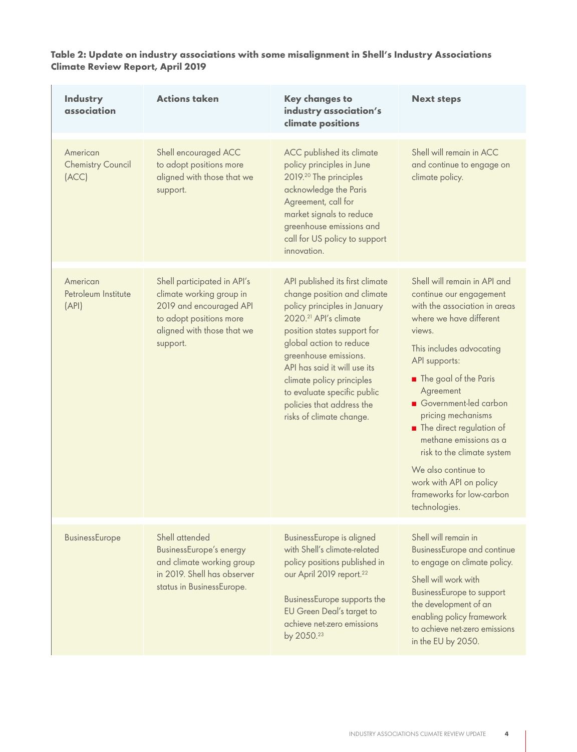### **Table 2: Update on industry associations with some misalignment in Shell's Industry Associations Climate Review Report, April 2019**

| Industry<br>association                       | <b>Actions taken</b>                                                                                                                                    | <b>Key changes to</b><br>industry association's<br>climate positions                                                                                                                                                                                                                                                                                                        | <b>Next steps</b>                                                                                                                                                                                                                                                                                                                                                                                                                                   |
|-----------------------------------------------|---------------------------------------------------------------------------------------------------------------------------------------------------------|-----------------------------------------------------------------------------------------------------------------------------------------------------------------------------------------------------------------------------------------------------------------------------------------------------------------------------------------------------------------------------|-----------------------------------------------------------------------------------------------------------------------------------------------------------------------------------------------------------------------------------------------------------------------------------------------------------------------------------------------------------------------------------------------------------------------------------------------------|
| American<br><b>Chemistry Council</b><br>(ACC) | Shell encouraged ACC<br>to adopt positions more<br>aligned with those that we<br>support.                                                               | ACC published its climate<br>policy principles in June<br>2019. <sup>20</sup> The principles<br>acknowledge the Paris<br>Agreement, call for<br>market signals to reduce<br>greenhouse emissions and<br>call for US policy to support<br>innovation.                                                                                                                        | Shell will remain in ACC<br>and continue to engage on<br>climate policy.                                                                                                                                                                                                                                                                                                                                                                            |
| American<br>Petroleum Institute<br>(API)      | Shell participated in API's<br>climate working group in<br>2019 and encouraged API<br>to adopt positions more<br>aligned with those that we<br>support. | API published its first climate<br>change position and climate<br>policy principles in January<br>2020. <sup>21</sup> API's climate<br>position states support for<br>global action to reduce<br>greenhouse emissions.<br>API has said it will use its<br>climate policy principles<br>to evaluate specific public<br>policies that address the<br>risks of climate change. | Shell will remain in API and<br>continue our engagement<br>with the association in areas<br>where we have different<br>views.<br>This includes advocating<br>API supports:<br>The goal of the Paris<br>Agreement<br>Government-led carbon<br>pricing mechanisms<br>The direct regulation of<br>methane emissions as a<br>risk to the climate system<br>We also continue to<br>work with API on policy<br>frameworks for low-carbon<br>technologies. |
| BusinessEurope                                | Shell attended<br><b>BusinessEurope's energy</b><br>and climate working group<br>in 2019. Shell has observer<br>status in BusinessEurope.               | <b>BusinessEurope is aligned</b><br>with Shell's climate-related<br>policy positions published in<br>our April 2019 report. <sup>22</sup><br>BusinessEurope supports the<br>EU Green Deal's target to<br>achieve net-zero emissions<br>by 2050.23                                                                                                                           | Shell will remain in<br><b>BusinessEurope and continue</b><br>to engage on climate policy.<br>Shell will work with<br><b>BusinessEurope to support</b><br>the development of an<br>enabling policy framework<br>to achieve net-zero emissions<br>in the EU by 2050.                                                                                                                                                                                 |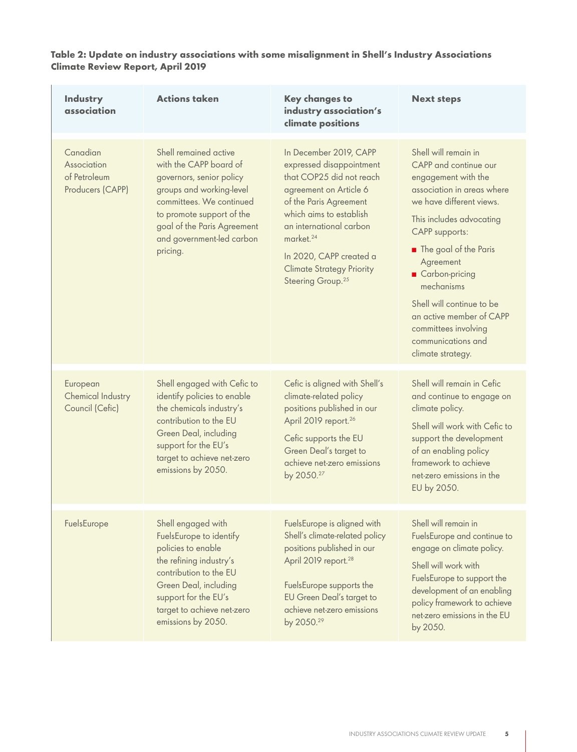### **Table 2: Update on industry associations with some misalignment in Shell's Industry Associations Climate Review Report, April 2019**

| Industry<br>association                                     | <b>Actions taken</b>                                                                                                                                                                                                                     | <b>Key changes to</b><br>industry association's<br>climate positions                                                                                                                                                                                                                                              | <b>Next steps</b>                                                                                                                                                                                                                                                                                                                                                                     |
|-------------------------------------------------------------|------------------------------------------------------------------------------------------------------------------------------------------------------------------------------------------------------------------------------------------|-------------------------------------------------------------------------------------------------------------------------------------------------------------------------------------------------------------------------------------------------------------------------------------------------------------------|---------------------------------------------------------------------------------------------------------------------------------------------------------------------------------------------------------------------------------------------------------------------------------------------------------------------------------------------------------------------------------------|
| Canadian<br>Association<br>of Petroleum<br>Producers (CAPP) | Shell remained active<br>with the CAPP board of<br>governors, senior policy<br>groups and working-level<br>committees. We continued<br>to promote support of the<br>goal of the Paris Agreement<br>and government-led carbon<br>pricing. | In December 2019, CAPP<br>expressed disappointment<br>that COP25 did not reach<br>agreement on Article 6<br>of the Paris Agreement<br>which aims to establish<br>an international carbon<br>market. <sup>24</sup><br>In 2020, CAPP created a<br><b>Climate Strategy Priority</b><br>Steering Group. <sup>25</sup> | Shell will remain in<br>CAPP and continue our<br>engagement with the<br>association in areas where<br>we have different views.<br>This includes advocating<br><b>CAPP</b> supports:<br>The goal of the Paris<br>Agreement<br>Carbon-pricing<br>mechanisms<br>Shell will continue to be<br>an active member of CAPP<br>committees involving<br>communications and<br>climate strategy. |
| European<br><b>Chemical Industry</b><br>Council (Cefic)     | Shell engaged with Cefic to<br>identify policies to enable<br>the chemicals industry's<br>contribution to the EU<br>Green Deal, including<br>support for the EU's<br>target to achieve net-zero<br>emissions by 2050.                    | Cefic is aligned with Shell's<br>climate-related policy<br>positions published in our<br>April 2019 report. <sup>26</sup><br>Cefic supports the EU<br>Green Deal's target to<br>achieve net-zero emissions<br>by 2050.27                                                                                          | Shell will remain in Cefic<br>and continue to engage on<br>climate policy.<br>Shell will work with Cefic to<br>support the development<br>of an enabling policy<br>framework to achieve<br>net-zero emissions in the<br>EU by 2050.                                                                                                                                                   |
| FuelsEurope                                                 | Shell engaged with<br>FuelsEurope to identify<br>policies to enable<br>the refining industry's<br>contribution to the EU<br>Green Deal, including<br>support for the EU's<br>target to achieve net-zero<br>emissions by 2050.            | FuelsEurope is aligned with<br>Shell's climate-related policy<br>positions published in our<br>April 2019 report. <sup>28</sup><br>FuelsEurope supports the<br>EU Green Deal's target to<br>achieve net-zero emissions<br>by 2050.29                                                                              | Shell will remain in<br>FuelsEurope and continue to<br>engage on climate policy.<br>Shell will work with<br>FuelsEurope to support the<br>development of an enabling<br>policy framework to achieve<br>net-zero emissions in the EU<br>by 2050.                                                                                                                                       |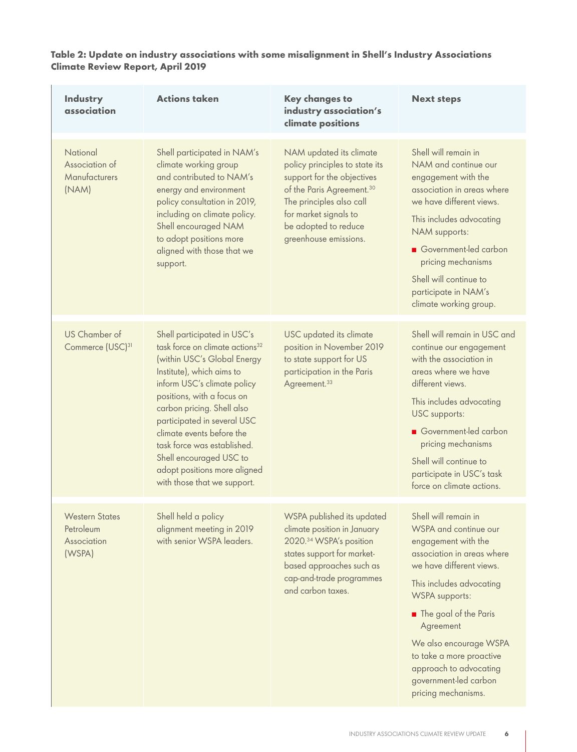### **Table 2: Update on industry associations with some misalignment in Shell's Industry Associations Climate Review Report, April 2019**

| <b>Industry</b><br>association                              | <b>Actions taken</b>                                                                                                                                                                                                                                                                                                                                                                                                   | <b>Key changes to</b><br>industry association's<br>climate positions                                                                                                                                                                   | <b>Next steps</b>                                                                                                                                                                                                                                                                                                                                         |
|-------------------------------------------------------------|------------------------------------------------------------------------------------------------------------------------------------------------------------------------------------------------------------------------------------------------------------------------------------------------------------------------------------------------------------------------------------------------------------------------|----------------------------------------------------------------------------------------------------------------------------------------------------------------------------------------------------------------------------------------|-----------------------------------------------------------------------------------------------------------------------------------------------------------------------------------------------------------------------------------------------------------------------------------------------------------------------------------------------------------|
| National<br>Association of<br>Manufacturers<br>(NAM)        | Shell participated in NAM's<br>climate working group<br>and contributed to NAM's<br>energy and environment<br>policy consultation in 2019,<br>including on climate policy.<br>Shell encouraged NAM<br>to adopt positions more<br>aligned with those that we<br>support.                                                                                                                                                | NAM updated its climate<br>policy principles to state its<br>support for the objectives<br>of the Paris Agreement. <sup>30</sup><br>The principles also call<br>for market signals to<br>be adopted to reduce<br>greenhouse emissions. | Shell will remain in<br>NAM and continue our<br>engagement with the<br>association in areas where<br>we have different views.<br>This includes advocating<br>NAM supports:<br>Government-led carbon<br>pricing mechanisms<br>Shell will continue to<br>participate in NAM's<br>climate working group.                                                     |
| US Chamber of<br>Commerce (USC) <sup>31</sup>               | Shell participated in USC's<br>task force on climate actions <sup>32</sup><br>(within USC's Global Energy<br>Institute), which aims to<br>inform USC's climate policy<br>positions, with a focus on<br>carbon pricing. Shell also<br>participated in several USC<br>climate events before the<br>task force was established.<br>Shell encouraged USC to<br>adopt positions more aligned<br>with those that we support. | <b>USC</b> updated its climate<br>position in November 2019<br>to state support for US<br>participation in the Paris<br>Agreement. <sup>33</sup>                                                                                       | Shell will remain in USC and<br>continue our engagement<br>with the association in<br>areas where we have<br>different views.<br>This includes advocating<br>USC supports:<br>Government-led carbon<br>pricing mechanisms<br>Shell will continue to<br>participate in USC's task<br>force on climate actions.                                             |
| <b>Western States</b><br>Petroleum<br>Association<br>(WSPA) | Shell held a policy<br>alignment meeting in 2019<br>with senior WSPA leaders.                                                                                                                                                                                                                                                                                                                                          | WSPA published its updated<br>climate position in January<br>2020. <sup>34</sup> WSPA's position<br>states support for market-<br>based approaches such as<br>cap-and-trade programmes<br>and carbon taxes.                            | Shell will remain in<br>WSPA and continue our<br>engagement with the<br>association in areas where<br>we have different views.<br>This includes advocating<br><b>WSPA</b> supports:<br>The goal of the Paris<br>Agreement<br>We also encourage WSPA<br>to take a more proactive<br>approach to advocating<br>government-led carbon<br>pricing mechanisms. |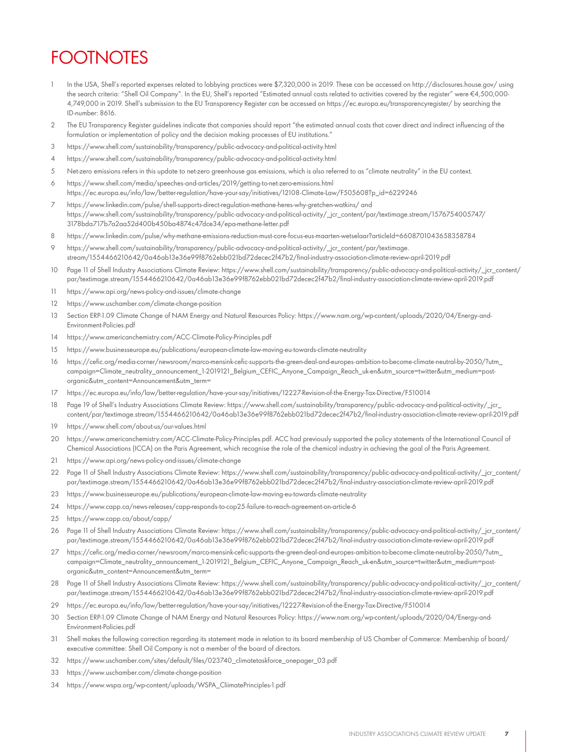### FOOTNOTES

- In the USA, Shell's reported expenses related to lobbying practices were \$7,320,000 in 2019. These can be accessed on <http://disclosures.house.gov/> using the search criteria: "Shell Oil Company". In the EU, Shell's reported "Estimated annual costs related to activities covered by the register" were €4,500,000- 4,749,000 in 2019. Shell's submission to the EU Transparency Register can be accessed on<https://ec.europa.eu/transparencyregister/>by searching the ID-number: 8616.
- 2 The EU Transparency Register guidelines indicate that companies should report "the estimated annual costs that cover direct and indirect influencing of the formulation or implementation of policy and the decision making processes of EU institutions."
- 3 <https://www.shell.com/sustainability/transparency/public-advocacy-and-political-activity.html>
- 4 <https://www.shell.com/sustainability/transparency/public-advocacy-and-political-activity.html>
- 5 Net-zero emissions refers in this update to net-zero greenhouse gas emissions, which is also referred to as "climate neutrality" in the EU context.
- 6 https://www.shell.com/media/speeches-and-articles/2019/getting-to-net-zero-emissions.html https://ec.europa.eu/info/law/better-regulation/have-your-say/initiatives/12108-Climate-Law/F505608?p\_id=6229246
- 7 https://www.linkedin.com/pulse/shell-supports-direct-regulation-methane-heres-why-gretchen-watkins/ and https://www.shell.com/sustainability/transparency/public-advocacy-and-political-activity/\_jcr\_content/par/textimage.stream/1576754005747/ 3178bda717b7a2aa52d400b450ba4874c47dce34/epa-methane-letter.pdf
- 8 https://www.linkedin.com/pulse/why-methane-emissions-reduction-must-core-focus-eus-maarten-wetselaar?articleId=6608701043658358784
- 9 https://www.shell.com/sustainability/transparency/public-advocacy-and-political-activity/\_jcr\_content/par/textimage. stream/1554466210642/0a46ab13e36e99f8762ebb021bd72decec2f47b2/final-industry-association-climate-review-april-2019.pdf
- 10 Page 11 of Shell Industry Associations Climate Review: https://www.shell.com/sustainability/transparency/public-advocacy-and-political-activity/\_jcr\_content/ par/textimage.stream/1554466210642/0a46ab13e36e99f8762ebb021bd72decec2f47b2/final-industry-association-climate-review-april-2019.pdf
- 11 https://www.api.org/news-policy-and-issues/climate-change
- 12 https://www.uschamber.com/climate-change-position
- 13 Section ERP-1.09 Climate Change of NAM Energy and Natural Resources Policy: https://www.nam.org/wp-content/uploads/2020/04/Energy-and-Environment-Policies.pdf
- 14 https://www.americanchemistry.com/ACC-Climate-Policy-Principles.pdf
- 15 https://www.businesseurope.eu/publications/european-climate-law-moving-eu-towards-climate-neutrality
- 16 https://cefic.org/media-corner/newsroom/marco-mensink-cefic-supports-the-green-deal-and-europes-ambition-to-become-climate-neutral-by-2050/?utm\_ campaign=Climate\_neutrality\_announcement\_1-2019121\_Belgium\_CEFIC\_Anyone\_Campaign\_Reach\_uk-en&utm\_source=twitter&utm\_medium=postorganic&utm\_content=Announcement&utm\_term= to emission refers in this update to red acro presents one gas emissions[,](https://www.api.org/news-policy-and-issues/climate-change)which is due referred to an "dimeter exactlest" in the [E](https://www.shell.com/sustainability/transparency/public-advocacy-and-political-activity/_jcr_content/par/textimage.stream/1554466210642/0a46ab13e36e99f8762ebb021bd72decec2f47b2/final-industry-association-climate-review-april-2019.pdf)U content.<br>
Severalized *in presents an exactle and antitary 2007 getting to reason worstwic*
- 17 https://ec.europa.eu/info/law/better-regulation/have-your-say/initiatives/12227-Revision-of-the-Energy-Tax-Directive/F510014
- 18 Page 19 of Shell's Industry Associations Climate Review: https://www.shell.com/sustainability/transparency/public-advocacy-and-political-activity/\_jcr\_ content/par/textimage.stream/1554466210642/0a46ab13e36e99f8762ebb021bd72decec2f47b2/final-industry-association-climate-review-april-2019.pdf
- 19 https://www.shell.com/about-us/our-values.html
- 20 https://www.americanchemistry.com/ACC-Climate-Policy-Principles.pdf. ACC had previously supported the policy statements of the International Council of Chemical Associations (ICCA) on the Paris Agreement, which recognise the role of the chemical industry in achieving the goal of the Paris Agreement.
- 21 https://www.api.org/news-policy-and-issues/climate-change
- 22 Page 11 of Shell Industry Associations Climate Review: https://www.shell.com/sustainability/transparency/public-advocacy-and-political-activity/\_jcr\_content/ par/textimage.stream/1554466210642/0a46ab13e36e99f8762ebb021bd72decec2f47b2/final-industry-association-climate-review-april-2019.pdf
- 23 https://www.businesseurope.eu/publications/european-climate-law-moving-eu-towards-climate-neutrality
- 24 https://www.capp.ca/news-releases/capp-responds-to-cop25-failure-to-reach-agreement-on-article-6
- 25 https://www.capp.ca/about/capp/
- 26 Page 11 of Shell Industry Associations Climate Review: https://www.shell.com/sustainability/transparency/public-advocacy-and-political-activity/\_jcr\_content/ par/textimage.stream/1554466210642/0a46ab13e36e99f8762ebb021bd72decec2f47b2/final-industry-association-climate-review-april-2019.pdf
- 27 https://cefic.org/media-corner/newsroom/marco-mensink-cefic-supports-the-green-deal-and-europes-ambition-to-become-climate-neutral-by-2050/?utm\_ campaign=Climate\_neutrality\_announcement\_1-2019121\_Belgium\_CEFIC\_Anyone\_Campaign\_Reach\_uk-en&utm\_source=twitter&utm\_medium=postorganic&utm\_content=Announcement&utm\_term=
- 28 Page 11 of Shell Industry Associations Climate Review: [https://www.shell.com/sustainability/transparency/public-advocacy-and-political-activity/\\_jcr\\_content/](https://www.shell.com/sustainability/transparency/public-advocacy-and-political-activity/_jcr_content/par/textimage.stream/1554466210642/0a46ab13e36e99f8762ebb021bd72decec2f47b2/final-industry-association-climate-review-april-2019.pdf) [par/textimage.stream/1554466210642/0a46ab13e36e99f8762ebb021bd72decec2f47b2/final-industry-association-climate-review-april-2019.pdf](https://www.shell.com/sustainability/transparency/public-advocacy-and-political-activity/_jcr_content/par/textimage.stream/1554466210642/0a46ab13e36e99f8762ebb021bd72decec2f47b2/final-industry-association-climate-review-april-2019.pdf)
- 29 <https://ec.europa.eu/info/law/better-regulation/have-your-say/initiatives/12227-Revision-of-the-Energy-Tax-Directive/F510014>
- 30 Section ERP-1.09 Climate Change of NAM Energy and Natural Resources Policy: [https://www.nam.org/wp-content/uploads/2020/04/Energy-and-](https://www.nam.org/wp-content/uploads/2020/04/Energy-and-Environment-Policies.pdf)[Environment-Policies.pdf](https://www.nam.org/wp-content/uploads/2020/04/Energy-and-Environment-Policies.pdf)
- 31 Shell makes the following correction regarding its statement made in relation to its board membership of US Chamber of Commerce: Membership of board/ executive committee: Shell Oil Company is not a member of the board of directors.
- 32 [https://www.uschamber.com/sites/default/files/023740\\_climatetaskforce\\_onepager\\_03.pdf](https://www.uschamber.com/sites/default/files/023740_climatetaskforce_onepager_03.pdf)
- 33 <https://www.uschamber.com/climate-change-position>
- 34 [https://www.wspa.org/wp-content/uploads/WSPA\\_CliimatePrinciples-1.pdf](https://www.wspa.org/wp-content/uploads/WSPA_CliimatePrinciples-1.pdf)